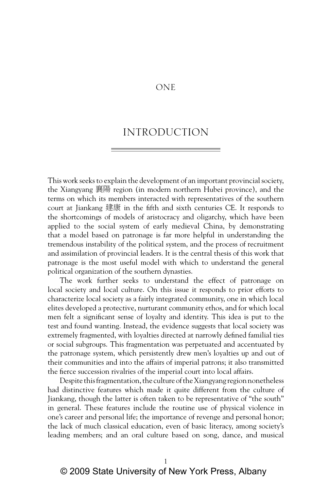## ONE

# INTRODUCTION

This work seeks to explain the development of an important provincial society, the Xiangyang 襄陽 region (in modern northern Hubei province), and the terms on which its members interacted with representatives of the southern court at Jiankang 建康 in the fifth and sixth centuries CE. It responds to the shortcomings of models of aristocracy and oligarchy, which have been applied to the social system of early medieval China, by demonstrating that a model based on patronage is far more helpful in understanding the tremendous instability of the political system, and the process of recruitment and assimilation of provincial leaders. It is the central thesis of this work that patronage is the most useful model with which to understand the general political organization of the southern dynasties.

The work further seeks to understand the effect of patronage on local society and local culture. On this issue it responds to prior efforts to characterize local society as a fairly integrated community , one in which local elites developed a protective, nurturant community ethos, and for which local men felt a significant sense of loyalty and identity. This idea is put to the test and found wanting. Instead, the evidence suggests that local society was extremely fragmented, with loyalties directed at narrowly defined familial ties or social subgroups. This fragmentation was perpetuated and accentuated by the patronage system, which persistently drew men's loyalties up and out of their communities and into the affairs of imperial patrons; it also transmitted the fierce succession rivalries of the imperial court into local affairs.

Despite this fragmentation, the culture of the Xiangyang region nonetheless had distinctive features which made it quite different from the culture of Jiankang, though the latter is often taken to be representative of "the south" in general. These features include the routine use of physical violence in one's career and personal life; the importance of revenge and personal honor; the lack of much classical education, even of basic literacy, among society's leading members; and an oral culture based on song, dance, and musical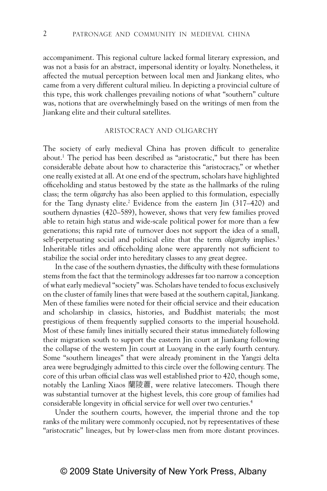accompaniment. This regional culture lacked formal literary expression, and was not a basis for an abstract, impersonal identity or loyalty. Nonetheless, it affected the mutual perception between local men and Jiankang elites, who came from a very different cultural milieu. In depicting a provincial culture of this type, this work challenges prevailing notions of what "southern" culture was, notions that are overwhelmingly based on the writings of men from the Jiankang elite and their cultural satellites.

### ARISTOCRACY AND OLIGARCHY

The society of early medieval China has proven difficult to generalize about.1 The period has been described as "aristocratic," but there has been considerable debate about how to characterize this "aristocracy ," or whether one really existed at all. At one end of the spectrum, scholars have highlighted officeholding and status bestowed by the state as the hallmarks of the ruling class; the term *oligarchy* has also been applied to this formulation, especially for the Tang dynasty elite.<sup>2</sup> Evidence from the eastern Jin (317–420) and southern dynasties (420–589), however, shows that very few families proved able to retain high status and wide-scale political power for more than a few generations; this rapid rate of turnover does not support the idea of a small, self-perpetuating social and political elite that the term *oligarchy* implies.<sup>3</sup> Inheritable titles and officeholding alone were apparently not sufficient to stabilize the social order into hereditary classes to any great degree.

In the case of the southern dynasties, the difficulty with these formulations stems from the fact that the terminology addresses far too narrow a conception of what early medieval "society" was. Scholars have tended to focus exclusively on the cluster of family lines that were based at the southern capital, Jiankang . Men of these families were noted for their official service and their education and scholarship in classics, histories, and Buddhist materials; the most prestigious of them frequently supplied consorts to the imperial household. Most of these family lines initially secured their status immediately following their migration south to support the eastern Jin court at Jiankang following the collapse of the western Jin court at Luoyang in the early fourth century. Some "southern lineages" that were already prominent in the Yangzi delta area were begrudgingly admitted to this circle over the following century. The core of this urban official class was well established prior to 420, though some, notably the Lanling Xiaos 蘭陵蕭, were relative latecomers. Though there was substantial turnover at the highest levels, this core group of families had considerable longevity in official service for well over two centuries.<sup>4</sup>

Under the southern courts, however, the imperial throne and the top ranks of the military were commonly occupied, not by representatives of these "aristocratic" lineages, but by lower-class men from more distant provinces.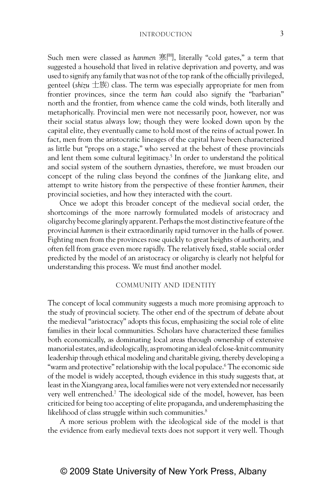Such men were classed as *hanmen* 寒門, literally "cold gates," a term that suggested a household that lived in relative deprivation and poverty, and was used to signify any family that was not of the top rank of the officially privileged, genteel (*shizu*  $\pm$ 族) class. The term was especially appropriate for men from frontier provinces, since the term *han* could also signify the "barbarian" north and the frontier, from whence came the cold winds, both literally and metaphorically. Provincial men were not necessarily poor, however, nor was their social status always low; though they were looked down upon by the capital elite, they eventually came to hold most of the reins of actual power. In fact, men from the aristocratic lineages of the capital have been characterized as little but "props on a stage," who served at the behest of these provincials and lent them some cultural legitimacy.<sup>5</sup> In order to understand the political and social system of the southern dynasties, therefore, we must broaden our concept of the ruling class beyond the confines of the Jiankang elite, and attempt to write history from the perspective of these frontier *hanmen*, their provincial societies, and how they interacted with the court.

Once we adopt this broader concept of the medieval social order, the shortcomings of the more narrowly formulated models of aristocracy and oligarchy become glaringly apparent. Perhaps the most distinctive feature of the provincial *hanmen* is their extraordinarily rapid turnover in the halls of power. Fighting men from the provinces rose quickly to great heights of authority, and often fell from grace even more rapidly. The relatively fixed, stable social order predicted by the model of an aristocracy or oligarchy is clearly not helpful for understanding this process. We must find another model.

### COMMUNITY AND IDENTITY

The concept of local community suggests a much more promising approach to the study of provincial society. The other end of the spectrum of debate about the medieval "aristocracy " adopts this focus, emphasizing the social role of elite families in their local communities. Scholars have characterized these families both economically, as dominating local areas through ownership of extensive manorial estates, and ideologically, as promoting an ideal of close-knit community leadership through ethical modeling and charitable giving, thereby developing a "warm and protective" relationship with the local populace.6 The economic side of the model is widely accepted, though evidence in this study suggests that, at least in the Xiangyang area, local families were not very extended nor necessarily very well entrenched.<sup>7</sup> The ideological side of the model, however, has been criticized for being too accepting of elite propaganda, and underemphasizing the likelihood of class struggle within such communities.<sup>8</sup>

A more serious problem with the ideological side of the model is that the evidence from early medieval texts does not support it very well. Though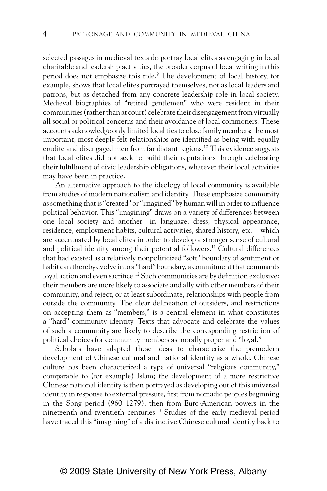selected passages in medieval texts do portray local elites as engaging in local charitable and leadership activities, the broader corpus of local writing in this period does not emphasize this role.9 The development of local history, for example, shows that local elites portrayed themselves, not as local leaders and patrons, but as detached from any concrete leadership role in local society. Medieval biographies of "retired gentlemen" who were resident in their communities (rather than at court) celebrate their disengagement from virtually all social or political concerns and their avoidance of local commoners. These accounts acknowledge only limited local ties to close family members; the most important, most deeply felt relationships are identified as being with equally erudite and disengaged men from far distant regions.<sup>10</sup> This evidence suggests that local elites did not seek to build their reputations through celebrating their fulfillment of civic leadership obligations, whatever their local activities may have been in practice.

An alternative approach to the ideology of local community is available from studies of modern nationalism and identity. These emphasize community as something that is "created" or "imagined" by human will in order to influence political behavior. This "imagining" draws on a variety of differences between one local society and another—in language, dress, physical appearance, residence, employment habits, cultural activities, shared history, etc.—which are accentuated by local elites in order to develop a stronger sense of cultural and political identity among their potential followers.<sup>11</sup> Cultural differences that had existed as a relatively nonpoliticized "soft" boundary of sentiment or habit can thereby evolve into a "hard" boundary, a commitment that commands loyal action and even sacrifice.<sup>12</sup> Such communities are by definition exclusive: their members are more likely to associate and ally with other members of their community, and reject, or at least subordinate, relationships with people from outside the community. The clear delineation of outsiders, and restrictions on accepting them as "members," is a central element in what constitutes a "hard" community identity. Texts that advocate and celebrate the values of such a community are likely to describe the corresponding restriction of political choices for community members as morally proper and "loyal."

Scholars have adapted these ideas to characterize the premodern development of Chinese cultural and national identity as a whole. Chinese culture has been characterized a type of universal "religious community," comparable to (for example) Islam; the development of a more restrictive Chinese national identity is then portrayed as developing out of this universal identity in response to external pressure, first from nomadic peoples beginning in the Song period (960–1279), then from Euro-American powers in the nineteenth and twentieth centuries.13 Studies of the early medieval period have traced this "imagining" of a distinctive Chinese cultural identity back to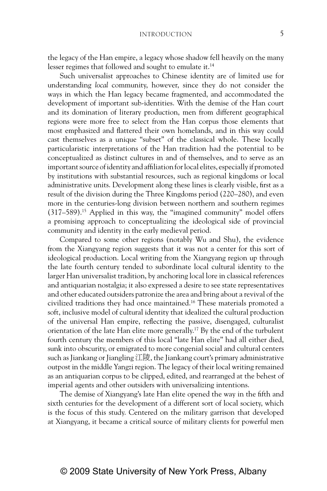the legacy of the Han empire, a legacy whose shadow fell heavily on the many lesser regimes that followed and sought to emulate it.<sup>14</sup>

Such universalist approaches to Chinese identity are of limited use for understanding *local* community, however, since they do not consider the ways in which the Han legacy became fragmented, and accommodated the development of important sub-identities. With the demise of the Han court and its domination of literary production, men from different geographical regions were more free to select from the Han corpus those elements that most emphasized and flattered their own homelands, and in this way could cast themselves as a unique "subset" of the classical whole. These locally particularistic interpretations of the Han tradition had the potential to be conceptualized as distinct cultures in and of themselves, and to serve as an important source of identity and affiliation for local elites, especially if promoted by institutions with substantial resources, such as regional kingdoms or local administrative units. Development along these lines is clearly visible, first as a result of the division during the Three Kingdoms period (220–280), and even more in the centuries-long division between northern and southern regimes (317–589).15 Applied in this way, the "imagined community" model offers a promising approach to conceptualizing the ideological side of provincial community and identity in the early medieval period.

Compared to some other regions (notably Wu and Shu), the evidence from the Xiangyang region suggests that it was not a center for this sort of ideological production. Local writing from the Xiangyang region up through the late fourth century tended to subordinate local cultural identity to the larger Han universalist tradition, by anchoring local lore in classical references and antiquarian nostalgia; it also expressed a desire to see state representatives and other educated outsiders patronize the area and bring about a revival of the civilized traditions they had once maintained.16 These materials promoted a soft, inclusive model of cultural identity that idealized the cultural production of the universal Han empire, reflecting the passive, disengaged, culturalist orientation of the late Han elite more generally.17 By the end of the turbulent fourth century the members of this local "late Han elite" had all either died, sunk into obscurity, or emigrated to more congenial social and cultural centers such as Jiankang or Jiangling 江陵, the Jiankang court's primary administrative outpost in the middle Yangzi region. The legacy of their local writing remained as an antiquarian corpus to be clipped, edited, and rearranged at the behest of imperial agents and other outsiders with universalizing intentions.

The demise of Xiangyang's late Han elite opened the way in the fifth and sixth centuries for the development of a different sort of local society, which is the focus of this study. Centered on the military garrison that developed at Xiangyang, it became a critical source of military clients for powerful men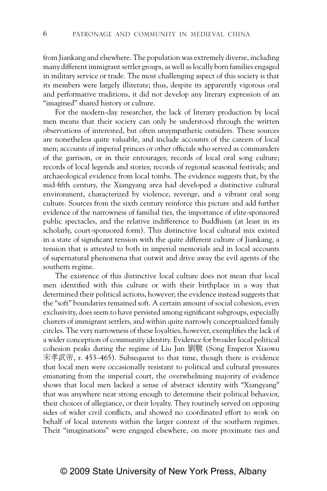from Jiankang and elsewhere. The population was extremely diverse, including many different immigrant settler groups, as well as locally born families engaged in military service or trade. The most challenging aspect of this society is that its members were largely illiterate; thus, despite its apparently vigorous oral and performative traditions, it did not develop any literary expression of an "imagined" shared history or culture.

For the modern-day researcher, the lack of literary production by local men means that their society can only be understood through the written observations of interested, but often unsympathetic outsiders. These sources are nonetheless quite valuable, and include accounts of the careers of local men; accounts of imperial princes or other officials who served as commanders of the garrison, or in their entourages; records of local oral song culture; records of local legends and stories; records of regional seasonal festivals; and archaeological evidence from local tombs. The evidence suggests that, by the mid-fifth century, the Xiangyang area had developed a distinctive cultural environment, characterized by violence, revenge, and a vibrant oral song culture. Sources from the sixth century reinforce this picture and add further evidence of the narrowness of familial ties, the importance of elite-sponsored public spectacles, and the relative indifference to Buddhism (at least in its scholarly, court-sponsored form). This distinctive local cultural mix existed in a state of significant tension with the quite different culture of Jiankang, a tension that is attested to both in imperial memorials and in local accounts of supernatural phenomena that outwit and drive away the evil agents of the southern regime.

The existence of this distinctive local culture does not mean that local men identified with this culture or with their birthplace in a way that determined their political actions, however; the evidence instead suggests that the "soft" boundaries remained soft. A certain amount of social cohesion, even exclusivity, does seem to have persisted among significant subgroups, especially clusters of immigrant settlers, and within quite narrowly conceptualized family circles. The very narrowness of these loyalties, however, exemplifies the lack of a wider conception of community identity. Evidence for broader local political cohesion peaks during the regime of Liu Jun 劉駿 (Song Emperor Xiaowu 宋孝武帝, r. 453–465). Subsequent to that time, though there is evidence that local men were occasionally resistant to political and cultural pressures emanating from the imperial court, the overwhelming majority of evidence shows that local men lacked a sense of abstract identity with "Xiangyang" that was anywhere near strong enough to determine their political behavior, their choices of allegiance, or their loyalty . They routinely served on opposing sides of wider civil conflicts, and showed no coordinated effort to work on behalf of local interests within the larger context of the southern regimes. Their "imaginations" were engaged elsewhere, on more proximate ties and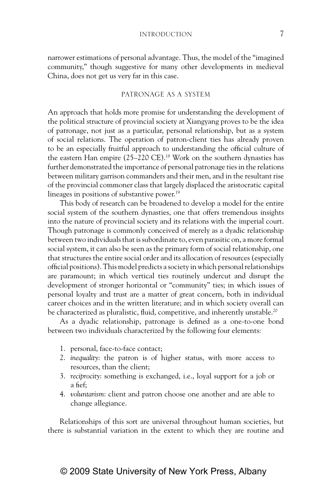narrower estimations of personal advantage. Thus, the model of the "imagined community," though suggestive for many other developments in medieval China, does not get us very far in this case.

## PATRONAGE AS A SYSTEM

An approach that holds more promise for understanding the development of the political structure of provincial society at Xiangyang proves to be the idea of patronage, not just as a particular, personal relationship, but as a system of social relations. The operation of patron-client ties has already proven to be an especially fruitful approach to understanding the official culture of the eastern Han empire (25–220 CE).18 Work on the southern dynasties has further demonstrated the importance of personal patronage ties in the relations between military garrison commanders and their men, and in the resultant rise of the provincial commoner class that largely displaced the aristocratic capital lineages in positions of substantive power.<sup>19</sup>

This body of research can be broadened to develop a model for the entire social system of the southern dynasties, one that offers tremendous insights into the nature of provincial society and its relations with the imperial court. Though patronage is commonly conceived of merely as a dyadic relationship between two individuals that is subordinate to, even parasitic on, a more formal social system, it can also be seen as the primary form of social relationship, one that structures the entire social order and its allocation of resources (especially official positions). This model predicts a society in which personal relationships are paramount; in which vertical ties routinely undercut and disrupt the development of stronger horizontal or "community" ties; in which issues of personal loyalty and trust are a matter of great concern, both in individual career choices and in the written literature; and in which society overall can be characterized as pluralistic, fluid, competitive, and inherently unstable.<sup>20</sup>

As a dyadic relationship, patronage is defined as a one-to-one bond between two individuals characterized by the following four elements:

- 1. personal, face-to-face contact;
- 2. *inequality*: the patron is of higher status, with more access to resources, than the client;
- 3. *reciprocity*: something is exchanged, i.e., loyal support for a job or a fief:
- 4. *voluntarism*: client and patron choose one another and are able to change allegiance.

Relationships of this sort are universal throughout human societies, but there is substantial variation in the extent to which they are routine and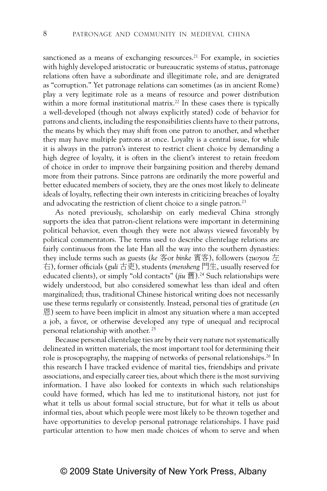sanctioned as a means of exchanging resources.<sup>21</sup> For example, in societies with highly developed aristocratic or bureaucratic systems of status, patronage relations often have a subordinate and illegitimate role, and are denigrated as "corruption." Yet patronage relations can sometimes (as in ancient Rome) play a very legitimate role as a means of resource and power distribution within a more formal institutional matrix.<sup>22</sup> In these cases there is typically a well-developed (though not always explicitly stated) code of behavior for patrons and clients, including the responsibilities clients have to their patrons, the means by which they may shift from one patron to another, and whether they may have multiple patrons at once. Loyalty is a central issue, for while it is always in the patron's interest to restrict client choice by demanding a high degree of loyalty, it is often in the client's interest to retain freedom of choice in order to improve their bargaining position and thereby demand more from their patrons. Since patrons are ordinarily the more powerful and better educated members of society, they are the ones most likely to delineate ideals of loyalty, reflecting their own interests in criticizing breaches of loyalty and advocating the restriction of client choice to a single patron.<sup>23</sup>

As noted previously, scholarship on early medieval China strongly supports the idea that patron-client relations were important in determining political behavior, even though they were not always viewed favorably by political commentators. The terms used to describe clientelage relations are fairly continuous from the late Han all the way into the southern dynasties: they include terms such as guests (*ke* 客or *binke* 賓客), followers (*zuoyou* 左 右), former offi cials (*guli* 古吏), students (*mensheng* 門生, usually reserved for educated clients), or simply "old contacts" (*jiu* 舊).24 Such relationships were widely understood, but also considered somewhat less than ideal and often marginalized; thus, traditional Chinese historical writing does not necessarily use these terms regularly or consistently. Instead, personal ties of gratitude (*en*  恩) seem to have been implicit in almost any situation where a man accepted a job, a favor, or otherwise developed any type of unequal and reciprocal personal relationship with another. 25

Because personal clientelage ties are by their very nature not systematically delineated in written materials, the most important tool for determining their role is prosopography, the mapping of networks of personal relationships.<sup>26</sup> In this research I have tracked evidence of marital ties, friendships and private associations, and especially career ties, about which there is the most surviving information. I have also looked for contexts in which such relationships could have formed, which has led me to institutional history, not just for what it tells us about formal social structure, but for what it tells us about informal ties, about which people were most likely to be thrown together and have opportunities to develop personal patronage relationships. I have paid particular attention to how men made choices of whom to serve and when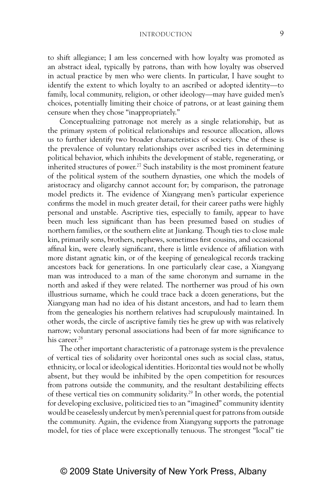to shift allegiance; I am less concerned with how loyalty was promoted as an abstract ideal, typically by patrons, than with how loyalty was observed in actual practice by men who were clients. In particular, I have sought to identify the extent to which loyalty to an ascribed or adopted identity—to family, local community, religion, or other ideology—may have guided men's choices, potentially limiting their choice of patrons, or at least gaining them censure when they chose "inappropriately."

Conceptualizing patronage not merely as a single relationship, but as the primary system of political relationships and resource allocation, allows us to further identify two broader characteristics of society. One of these is the prevalence of voluntary relationships over ascribed ties in determining political behavior, which inhibits the development of stable, regenerating, or inherited structures of power.<sup>27</sup> Such instability is the most prominent feature of the political system of the southern dynasties, one which the models of aristocracy and oligarchy cannot account for; by comparison, the patronage model predicts it. The evidence of Xiangyang men's particular experience confirms the model in much greater detail, for their career paths were highly personal and unstable. Ascriptive ties, especially to family, appear to have been much less significant than has been presumed based on studies of northern families, or the southern elite at Jiankang. Though ties to close male kin, primarily sons, brothers, nephews, sometimes first cousins, and occasional affinal kin, were clearly significant, there is little evidence of affiliation with more distant agnatic kin, or of the keeping of genealogical records tracking ancestors back for generations. In one particularly clear case, a Xiangyang man was introduced to a man of the same choronym and surname in the north and asked if they were related. The northerner was proud of his own illustrious surname, which he could trace back a dozen generations, but the Xiangyang man had no idea of his distant ancestors, and had to learn them from the genealogies his northern relatives had scrupulously maintained. In other words, the circle of ascriptive family ties he grew up with was relatively narrow; voluntary personal associations had been of far more significance to his career.<sup>28</sup>

The other important characteristic of a patronage system is the prevalence of vertical ties of solidarity over horizontal ones such as social class, status, ethnicity, or local or ideological identities. Horizontal ties would not be wholly absent, but they would be inhibited by the open competition for resources from patrons outside the community, and the resultant destabilizing effects of these vertical ties on community solidarity.29 In other words, the potential for developing exclusive, politicized ties to an "imagined" community identity would be ceaselessly undercut by men's perennial quest for patrons from outside the community. Again, the evidence from Xiangyang supports the patronage model, for ties of place were exceptionally tenuous. The strongest "local" tie

## © 2009 State University of New York Press, Albany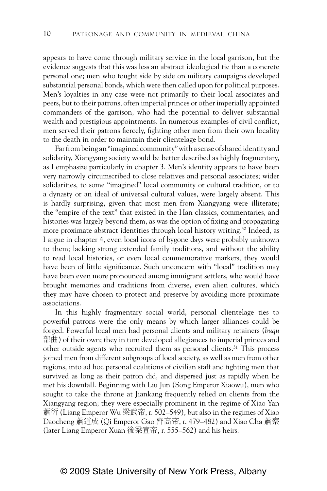appears to have come through military service in the local garrison, but the evidence suggests that this was less an abstract ideological tie than a concrete personal one; men who fought side by side on military campaigns developed substantial personal bonds, which were then called upon for political purposes. Men's loyalties in any case were not primarily to their local associates and peers, but to their patrons, often imperial princes or other imperially appointed commanders of the garrison, who had the potential to deliver substantial wealth and prestigious appointments. In numerous examples of civil conflict, men served their patrons fiercely, fighting other men from their own locality to the death in order to maintain their clientelage bond.

Far from being an "imagined community " with a sense of shared identity and solidarity, Xiangyang society would be better described as highly fragmentary, as I emphasize particularly in chapter 3. Men's identity appears to have been very narrowly circumscribed to close relatives and personal associates; wider solidarities, to some "imagined" local community or cultural tradition, or to a dynasty or an ideal of universal cultural values, were largely absent. This is hardly surprising, given that most men from Xiangyang were illiterate; the "empire of the text" that existed in the Han classics, commentaries, and histories was largely beyond them, as was the option of fixing and propagating more proximate abstract identities through local history writing.<sup>30</sup> Indeed, as I argue in chapter 4, even local icons of bygone days were probably unknown to them; lacking strong extended family traditions, and without the ability to read local histories, or even local commemorative markers, they would have been of little significance. Such unconcern with "local" tradition may have been even more pronounced among immigrant settlers, who would have brought memories and traditions from diverse, even alien cultures, which they may have chosen to protect and preserve by avoiding more proximate associations.

In this highly fragmentary social world, personal clientelage ties to powerful patrons were the only means by which larger alliances could be forged. Powerful local men had personal clients and military retainers (*buqu* 部曲) of their own; they in turn developed allegiances to imperial princes and other outside agents who recruited them as personal clients.<sup>31</sup> This process joined men from different subgroups of local society, as well as men from other regions, into ad hoc personal coalitions of civilian staff and fighting men that survived as long as their patron did, and dispersed just as rapidly when he met his downfall. Beginning with Liu Jun (Song Emperor Xiaowu), men who sought to take the throne at Jiankang frequently relied on clients from the Xiangyang region; they were especially prominent in the regime of Xiao Yan 蕭衍 (Liang Emperor Wu 梁武帝, r. 502–549), but also in the regimes of Xiao Daocheng 蕭道成 (Qi Emperor Gao 齊高帝, r. 479–482) and Xiao Cha 蕭察 (later Liang Emperor Xuan 後梁宣帝, r. 555–562) and his heirs.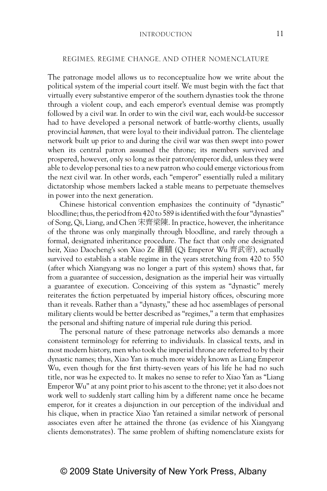## REGIMES, REGIME CHANGE, AND OTHER NOMENCLATURE

The patronage model allows us to reconceptualize how we write about the political system of the imperial court itself. We must begin with the fact that virtually every substantive emperor of the southern dynasties took the throne through a violent coup, and each emperor's eventual demise was promptly followed by a civil war. In order to win the civil war, each would-be successor had to have developed a personal network of battle-worthy clients, usually provincial *hanmen*, that were loyal to their individual patron. The clientelage network built up prior to and during the civil war was then swept into power when its central patron assumed the throne; its members survived and prospered, however, only so long as their patron/emperor did, unless they were able to develop personal ties to a new patron who could emerge victorious from the *next* civil war. In other words, each "emperor" essentially ruled a military dictatorship whose members lacked a stable means to perpetuate themselves in power into the next generation.

Chinese historical convention emphasizes the continuity of "dynastic" bloodline; thus, the period from 420 to 589 is identified with the four "dynasties" of Song, Qi, Liang, and Chen 宋齊梁陳. In practice, however, the inheritance of the throne was only marginally through bloodline, and rarely through a formal, designated inheritance procedure. The fact that only one designated heir, Xiao Daocheng's son Xiao Ze 蕭賾 (Qi Emperor Wu 齊武帝), actually survived to establish a stable regime in the years stretching from 420 to 550 (after which Xiangyang was no longer a part of this system) shows that, far from a guarantee of succession, designation as the imperial heir was virtually a guarantee of execution. Conceiving of this system as "dynastic" merely reiterates the fiction perpetuated by imperial history offices, obscuring more than it reveals. Rather than a "dynasty," these ad hoc assemblages of personal military clients would be better described as "regimes," a term that emphasizes the personal and shifting nature of imperial rule during this period.

The personal nature of these patronage networks also demands a more consistent terminology for referring to individuals. In classical texts, and in most modern history, men who took the imperial throne are referred to by their dynastic names; thus, Xiao Yan is much more widely known as Liang Emperor Wu, even though for the first thirty-seven years of his life he had no such title, nor was he expected to. It makes no sense to refer to Xiao Yan as "Liang Emperor Wu" at any point prior to his ascent to the throne; yet it also does not work well to suddenly start calling him by a different name once he became emperor, for it creates a disjunction in our perception of the individual and his clique, when in practice Xiao Yan retained a similar network of personal associates even after he attained the throne (as evidence of his Xiangyang clients demonstrates). The same problem of shifting nomenclature exists for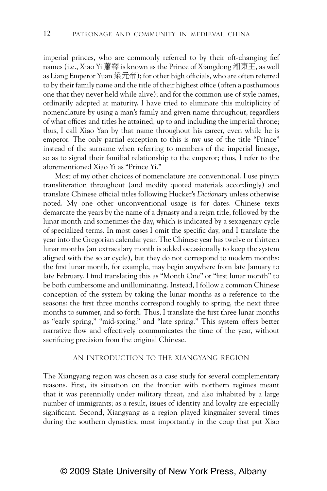imperial princes, who are commonly referred to by their oft-changing fief names (i.e., Xiao Yi 蕭繹 is known as the Prince of Xiangdong 湘東王, as well as Liang Emperor Yuan 梁元帝); for other high officials, who are often referred to by their family name and the title of their highest office (often a posthumous one that they never held while alive); and for the common use of style names, ordinarily adopted at maturity. I have tried to eliminate this multiplicity of nomenclature by using a man's family and given name throughout, regardless of what offices and titles he attained, up to and including the imperial throne; thus, I call Xiao Yan by that name throughout his career, even while he is emperor. The only partial exception to this is my use of the title "Prince" instead of the surname when referring to members of the imperial lineage, so as to signal their familial relationship to the emperor; thus, I refer to the aforementioned Xiao Yi as "Prince Yi."

Most of my other choices of nomenclature are conventional. I use pinyin transliteration throughout (and modify quoted materials accordingly) and translate Chinese official titles following Hucker's *Dictionary* unless otherwise noted. My one other unconventional usage is for dates. Chinese texts demarcate the years by the name of a dynasty and a reign title, followed by the lunar month and sometimes the day, which is indicated by a sexagenary cycle of specialized terms. In most cases I omit the specific day, and I translate the year into the Gregorian calendar year. The Chinese year has twelve or thirteen lunar months (an extracalary month is added occasionally to keep the system aligned with the solar cycle), but they do not correspond to modern months: the first lunar month, for example, may begin anywhere from late January to late February. I find translating this as "Month One" or "first lunar month" to be both cumbersome and unilluminating. Instead, I follow a common Chinese conception of the system by taking the lunar months as a reference to the seasons: the first three months correspond roughly to spring, the next three months to summer, and so forth. Thus, I translate the first three lunar months as "early spring," "mid-spring," and "late spring." This system offers better narrative flow and effectively communicates the time of the year, without sacrificing precision from the original Chinese.

### AN INTRODUCTION TO THE XIANGYANG REGION

The Xiangyang region was chosen as a case study for several complementary reasons. First, its situation on the frontier with northern regimes meant that it was perennially under military threat, and also inhabited by a large number of immigrants; as a result, issues of identity and loyalty are especially significant. Second, Xiangyang as a region played kingmaker several times during the southern dynasties, most importantly in the coup that put Xiao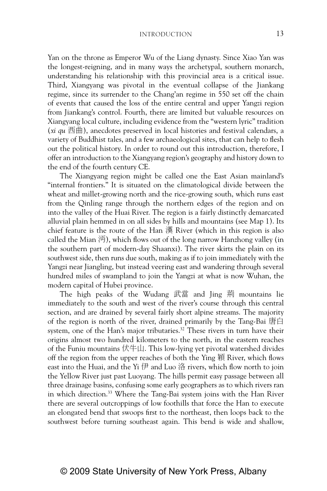Yan on the throne as Emperor Wu of the Liang dynasty. Since Xiao Yan was the longest-reigning, and in many ways the archetypal, southern monarch, understanding his relationship with this provincial area is a critical issue. Third, Xiangyang was pivotal in the eventual collapse of the Jiankang regime, since its surrender to the Chang'an regime in 550 set off the chain of events that caused the loss of the entire central and upper Yangzi region from Jiankang's control. Fourth, there are limited but valuable resources on Xiangyang local culture, including evidence from the "western lyric" tradition (*xi qu* 西曲), anecdotes preserved in local histories and festival calendars, a variety of Buddhist tales, and a few archaeological sites, that can help to flesh out the political history. In order to round out this introduction, therefore, I offer an introduction to the Xiangyang region's geography and history down to the end of the fourth century CE.

The Xiangyang region might be called one the East Asian mainland's "internal frontiers." It is situated on the climatological divide between the wheat and millet-growing north and the rice-growing south, which runs east from the Qinling range through the northern edges of the region and on into the valley of the Huai River. The region is a fairly distinctly demarcated alluvial plain hemmed in on all sides by hills and mountains (see Map 1). Its chief feature is the route of the Han 漢 River (which in this region is also called the Mian  $\overline{\varphi}$ ), which flows out of the long narrow Hanzhong valley (in the southern part of modern-day Shaanxi). The river skirts the plain on its southwest side, then runs due south, making as if to join immediately with the Yangzi near Jiangling, but instead veering east and wandering through several hundred miles of swampland to join the Yangzi at what is now Wuhan, the modern capital of Hubei province.

The high peaks of the Wudang 武當 and Jing 荊 mountains lie immediately to the south and west of the river's course through this central section, and are drained by several fairly short alpine streams. The majority of the region is north of the river, drained primarily by the Tang-Bai 唐白 system, one of the Han's major tributaries.<sup>32</sup> These rivers in turn have their origins almost two hundred kilometers to the north, in the eastern reaches of the Funiu mountains 伏牛山. This low-lying yet pivotal watershed divides off the region from the upper reaches of both the Ying 穎 River, which flows east into the Huai, and the Yi  $\#$  and Luo  $\mathbb A$  rivers, which flow north to join the Yellow River just past Luoyang. The hills permit easy passage between all three drainage basins, confusing some early geographers as to which rivers ran in which direction.<sup>33</sup> Where the Tang-Bai system joins with the Han River there are several outcroppings of low foothills that force the Han to execute an elongated bend that swoops first to the northeast, then loops back to the southwest before turning southeast again. This bend is wide and shallow,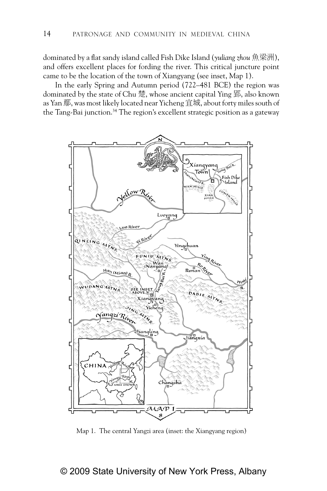dominated by a flat sandy island called Fish Dike Island (*yuliang zhou* 魚梁洲), and offers excellent places for fording the river. This critical juncture point came to be the location of the town of Xiangyang (see inset, Map 1).

In the early Spring and Autumn period (722–481 BCE) the region was dominated by the state of Chu 楚, whose ancient capital Ying 郢, also known as Yan 鄢, was most likely located near Yicheng 宜城, about forty miles south of the Tang-Bai junction.<sup>34</sup> The region's excellent strategic position as a gateway



Map 1. The central Yangzi area (inset: the Xiangyang region)

## © 2009 State University of New York Press, Albany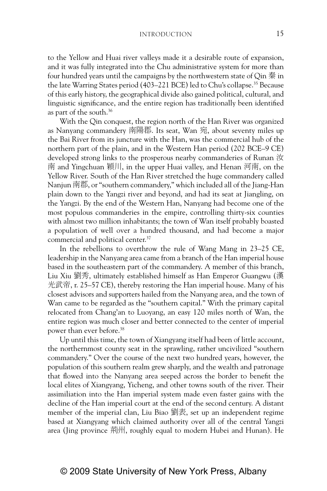to the Yellow and Huai river valleys made it a desirable route of expansion, and it was fully integrated into the Chu administrative system for more than four hundred years until the campaigns by the northwestern state of Qin 秦 in the late Warring States period (403–221 BCE) led to Chu's collapse.<sup>35</sup> Because of this early history, the geographical divide also gained political, cultural, and linguistic significance, and the entire region has traditionally been identified as part of the south.36

With the Qin conquest, the region north of the Han River was organized as Nanyang commandery 南陽郡. Its seat, Wan 宛, about seventy miles up the Bai River from its juncture with the Han, was the commercial hub of the northern part of the plain, and in the Western Han period (202 BCE–9 CE) developed strong links to the prosperous nearby commanderies of Runan 汝 南 and Yingchuan 穎川, in the upper Huai valley, and Henan 河南, on the Yellow River. South of the Han River stretched the huge commandery called Nanjun 南郡, or "southern commandery," which included all of the Jiang-Han plain down to the Yangzi river and beyond, and had its seat at Jiangling, on the Yangzi. By the end of the Western Han, Nanyang had become one of the most populous commanderies in the empire, controlling thirty-six counties with almost two million inhabitants; the town of Wan itself probably boasted a population of well over a hundred thousand, and had become a major commercial and political center.37

In the rebellions to overthrow the rule of Wang Mang in 23–25 CE, leadership in the Nanyang area came from a branch of the Han imperial house based in the southeastern part of the commandery. A member of this branch, Liu Xiu 劉秀, ultimately established himself as Han Emperor Guangwu (漢 光武帝, r. 25–57 CE), thereby restoring the Han imperial house. Many of his closest advisors and supporters hailed from the Nanyang area, and the town of Wan came to be regarded as the "southern capital." With the primary capital relocated from Chang'an to Luoyang, an easy 120 miles north of Wan, the entire region was much closer and better connected to the center of imperial power than ever before.38

Up until this time, the town of Xiangyang itself had been of little account, the northernmost county seat in the sprawling, rather uncivilized "southern commandery." Over the course of the next two hundred years, however, the population of this southern realm grew sharply, and the wealth and patronage that flowed into the Nanyang area seeped across the border to benefit the local elites of Xiangyang, Yicheng, and other towns south of the river. Their assimiliation into the Han imperial system made even faster gains with the decline of the Han imperial court at the end of the second century. A distant member of the imperial clan, Liu Biao 劉表, set up an independent regime based at Xiangyang which claimed authority over all of the central Yangzi area (Jing province 荊州, roughly equal to modern Hubei and Hunan). He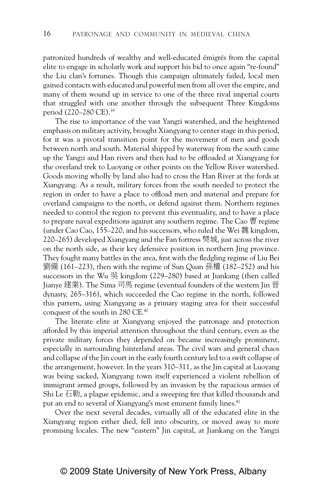patronized hundreds of wealthy and well-educated émigrés from the capital elite to engage in scholarly work and support his bid to once again "re-found" the Liu clan's fortunes. Though this campaign ultimately failed, local men gained contacts with educated and powerful men from all over the empire, and many of them wound up in service to one of the three rival imperial courts that struggled with one another through the subsequent Three Kingdoms period (220–280 CE).39

The rise to importance of the vast Yangzi watershed, and the heightened emphasis on military activity, brought Xiangyang to center stage in this period, for it was a pivotal transition point for the movement of men and goods between north and south. Material shipped by waterway from the south came up the Yangzi and Han rivers and then had to be offloaded at Xiangyang for the overland trek to Luoyang or other points on the Yellow River watershed. Goods moving wholly by land also had to cross the Han River at the fords at Xiangyang. As a result, military forces from the south needed to protect the region in order to have a place to offload men and material and prepare for overland campaigns to the north, or defend against them. Northern regimes needed to control the region to prevent this eventuality, and to have a place to prepare naval expeditions against any southern regime. The Cao 曹 regime (under Cao Cao, 155–220, and his successors, who ruled the Wei 魏 kingdom, 220–265) developed Xiangyang and the Fan fortress 樊城, just across the river on the north side, as their key defensive position in northern Jing province. They fought many battles in the area, first with the fledgling regime of Liu Bei 劉備 (161–223), then with the regime of Sun Quan 孫權 (182–252) and his successors in the Wu 吳 kingdom (229–280) based at Jiankang (then called Jianye 建業). The Sima 司馬 regime (eventual founders of the western Jin 晉 dynasty, 265–316), which succeeded the Cao regime in the north, followed this pattern, using Xiangyang as a primary staging area for their successful conquest of the south in 280 CE.40

The literate elite at Xiangyang enjoyed the patronage and protection afforded by this imperial attention throughout the third century, even as the private military forces they depended on became increasingly prominent, especially in surrounding hinterland areas. The civil wars and general chaos and collapse of the Jin court in the early fourth century led to a swift collapse of the arrangement, however. In the years 310–311, as the Jin capital at Luoyang was being sacked, Xiangyang town itself experienced a violent rebellion of immigrant armed groups, followed by an invasion by the rapacious armies of Shi Le 石勒, a plague epidemic, and a sweeping fire that killed thousands and put an end to several of Xiangyang's most eminent family lines.<sup>41</sup>

Over the next several decades, virtually all of the educated elite in the Xiangyang region either died, fell into obscurity, or moved away to more promising locales. The new "eastern" Jin capital, at Jiankang on the Yangzi